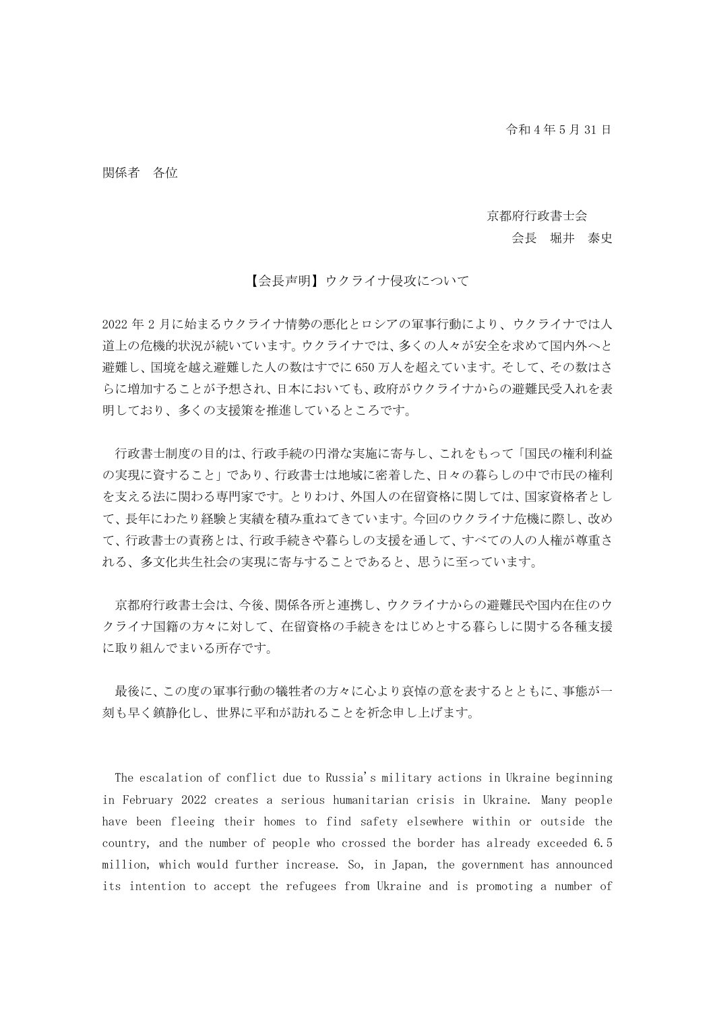## 関係者 各位

## 京都府行政書士会

## 会長 堀井 泰史

## 【会長声明】ウクライナ侵攻について

2022 年 2 月に始まるウクライナ情勢の悪化とロシアの軍事行動により、ウクライナでは人 道上の危機的状況が続いています。ウクライナでは、多くの人々が安全を求めて国内外へと 避難し、国境を越え避難した人の数はすでに 650 万人を超えています。そして、その数はさ らに増加することが予想され、日本においても、政府がウクライナからの避難民受入れを表 明しており、多くの支援策を推進しているところです。

行政書士制度の目的は、行政手続の円滑な実施に寄与し、これをもって「国民の権利利益 の実現に資すること」であり、行政書士は地域に密着した、日々の暮らしの中で市民の権利 を支える法に関わる専門家です。とりわけ、外国人の在留資格に関しては、国家資格者とし て、長年にわたり経験と実績を積み重ねてきています。今回のウクライナ危機に際し、改め て、行政書士の責務とは、行政手続きや暮らしの支援を通して、すべての人の人権が尊重さ れる、多文化共生社会の実現に寄与することであると、思うに至っています。

京都府行政書士会は、今後、関係各所と連携し、ウクライナからの避難民や国内在住のウ クライナ国籍の方々に対して、在留資格の手続きをはじめとする暮らしに関する各種支援 に取り組んでまいる所存です。

最後に、この度の軍事行動の犠牲者の方々に心より哀悼の意を表するとともに、事態が一 刻も早く鎮静化し、世界に平和が訪れることを祈念申し上げます。

 The escalation of conflict due to Russia's military actions in Ukraine beginning in February 2022 creates a serious humanitarian crisis in Ukraine. Many people have been fleeing their homes to find safety elsewhere within or outside the country, and the number of people who crossed the border has already exceeded 6.5 million, which would further increase. So, in Japan, the government has announced its intention to accept the refugees from Ukraine and is promoting a number of